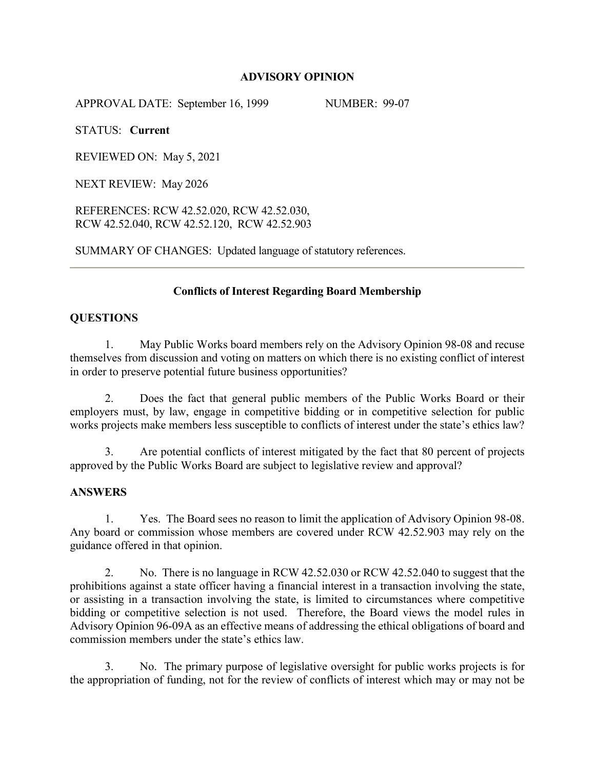### **ADVISORY OPINION**

APPROVAL DATE: September 16, 1999 NUMBER: 99-07

STATUS: **Current**

REVIEWED ON: May 5, 2021

NEXT REVIEW: May 2026

REFERENCES: RCW 42.52.020, RCW 42.52.030, RCW 42.52.040, RCW 42.52.120, RCW 42.52.903

SUMMARY OF CHANGES: Updated language of statutory references.

### **Conflicts of Interest Regarding Board Membership**

# **QUESTIONS**

1. May Public Works board members rely on the Advisory Opinion 98-08 and recuse themselves from discussion and voting on matters on which there is no existing conflict of interest in order to preserve potential future business opportunities?

2. Does the fact that general public members of the Public Works Board or their employers must, by law, engage in competitive bidding or in competitive selection for public works projects make members less susceptible to conflicts of interest under the state's ethics law?

3. Are potential conflicts of interest mitigated by the fact that 80 percent of projects approved by the Public Works Board are subject to legislative review and approval?

#### **ANSWERS**

1. Yes. The Board sees no reason to limit the application of Advisory Opinion 98-08. Any board or commission whose members are covered under RCW 42.52.903 may rely on the guidance offered in that opinion.

2. No. There is no language in RCW 42.52.030 or RCW 42.52.040 to suggest that the prohibitions against a state officer having a financial interest in a transaction involving the state, or assisting in a transaction involving the state, is limited to circumstances where competitive bidding or competitive selection is not used. Therefore, the Board views the model rules in Advisory Opinion 96-09A as an effective means of addressing the ethical obligations of board and commission members under the state's ethics law.

3. No. The primary purpose of legislative oversight for public works projects is for the appropriation of funding, not for the review of conflicts of interest which may or may not be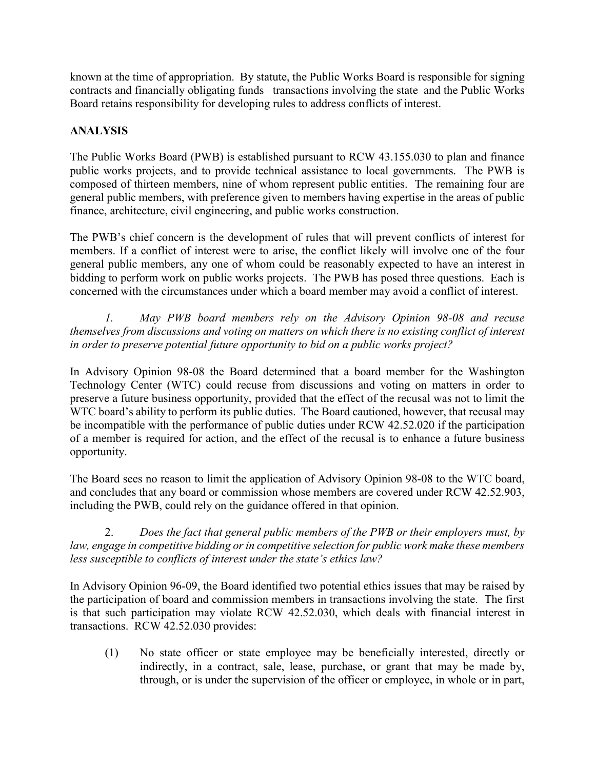known at the time of appropriation. By statute, the Public Works Board is responsible for signing contracts and financially obligating funds– transactions involving the state–and the Public Works Board retains responsibility for developing rules to address conflicts of interest.

# **ANALYSIS**

The Public Works Board (PWB) is established pursuant to RCW 43.155.030 to plan and finance public works projects, and to provide technical assistance to local governments. The PWB is composed of thirteen members, nine of whom represent public entities. The remaining four are general public members, with preference given to members having expertise in the areas of public finance, architecture, civil engineering, and public works construction.

The PWB's chief concern is the development of rules that will prevent conflicts of interest for members. If a conflict of interest were to arise, the conflict likely will involve one of the four general public members, any one of whom could be reasonably expected to have an interest in bidding to perform work on public works projects. The PWB has posed three questions. Each is concerned with the circumstances under which a board member may avoid a conflict of interest.

*1. May PWB board members rely on the Advisory Opinion 98-08 and recuse themselves from discussions and voting on matters on which there is no existing conflict of interest in order to preserve potential future opportunity to bid on a public works project?* 

In Advisory Opinion 98-08 the Board determined that a board member for the Washington Technology Center (WTC) could recuse from discussions and voting on matters in order to preserve a future business opportunity, provided that the effect of the recusal was not to limit the WTC board's ability to perform its public duties. The Board cautioned, however, that recusal may be incompatible with the performance of public duties under RCW 42.52.020 if the participation of a member is required for action, and the effect of the recusal is to enhance a future business opportunity.

The Board sees no reason to limit the application of Advisory Opinion 98-08 to the WTC board, and concludes that any board or commission whose members are covered under RCW 42.52.903, including the PWB, could rely on the guidance offered in that opinion.

2. *Does the fact that general public members of the PWB or their employers must, by law, engage in competitive bidding or in competitive selection for public work make these members less susceptible to conflicts of interest under the state's ethics law?*

In Advisory Opinion 96-09, the Board identified two potential ethics issues that may be raised by the participation of board and commission members in transactions involving the state. The first is that such participation may violate RCW 42.52.030, which deals with financial interest in transactions. RCW 42.52.030 provides:

(1) No state officer or state employee may be beneficially interested, directly or indirectly, in a contract, sale, lease, purchase, or grant that may be made by, through, or is under the supervision of the officer or employee, in whole or in part,